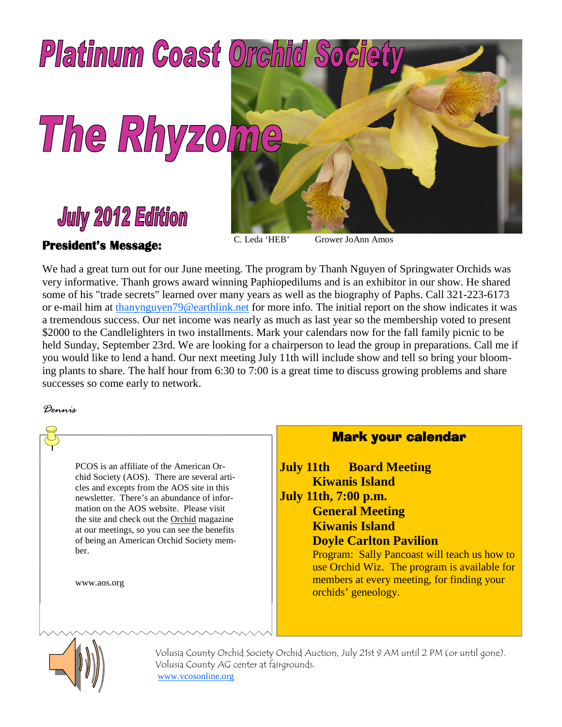

#### **President's Message:**

C. Leda 'HEB' Grower JoAnn Amos

We had a great turn out for our June meeting. The program by Thanh Nguyen of Springwater Orchids was very informative. Thanh grows award winning Paphiopedilums and is an exhibitor in our show. He shared some of his "trade secrets" learned over many years as well as the biography of Paphs. Call 321-223-6173 or e-mail him at thanynguyen79@earthlink.net for more info. The initial report on the show indicates it was a tremendous success. Our net income was nearly as much as last year so the membership voted to present \$2000 to the Candlelighters in two installments. Mark your calendars now for the fall family picnic to be held Sunday, September 23rd. We are looking for a chairperson to lead the group in preparations. Call me if you would like to lend a hand. Our next meeting July 11th will include show and tell so bring your blooming plants to share. The half hour from 6:30 to 7:00 is a great time to discuss growing problems and share successes so come early to network.

*Dennis*

PCOS is an affiliate of the American Orchid Society (AOS). There are several articles and excepts from the AOS site in this newsletter. There's an abundance of information on the AOS website. Please visit the site and check out the Orchid magazine at our meetings, so you can see the benefits of being an American Orchid Society member.

www.aos.org

### Mark your calendar

**July 11th Board Meeting Kiwanis Island July 11th, 7:00 p.m. General Meeting Kiwanis Island Doyle Carlton Pavilion** Program: Sally Pancoast will teach us how to use Orchid Wiz. The program is available for members at every meeting, for finding your orchids' geneology.



Volusia County Orchid Society Orchid Auction, July 21st 9 AM until 2 PM (or until gone). Volusia County AG center at fairgrounds. www.vcosonline.org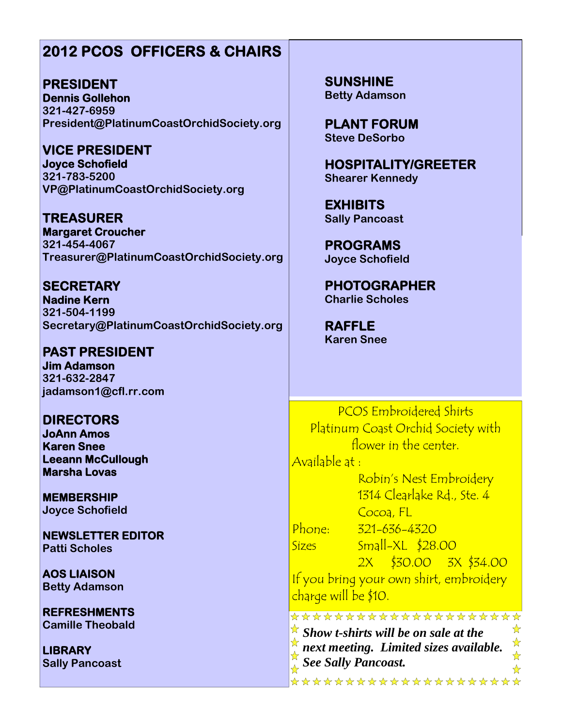## **2012 PCOS OFFICERS & CHAIRS**

**PRESIDENT Dennis Gollehon 321-427-6959 President@PlatinumCoastOrchidSociety.org**

**VICE PRESIDENT Joyce Schofield 321-783-5200 VP@PlatinumCoastOrchidSociety.org**

**TREASURER Margaret Croucher 321-454-4067 Treasurer@PlatinumCoastOrchidSociety.org**

**SECRETARY Nadine Kern 321-504-1199 Secretary@PlatinumCoastOrchidSociety.org**

**PAST PRESIDENT Jim Adamson 321-632-2847 jadamson1@cfl.rr.com**

**DIRECTORS JoAnn Amos Karen Snee Leeann McCullough Marsha Lovas**

**MEMBERSHIP Joyce Schofield**

**NEWSLETTER EDITOR Patti Scholes**

**AOS LIAISON Betty Adamson**

**REFRESHMENTS Camille Theobald**

**LIBRARY Sally Pancoast** **SUNSHINE Betty Adamson**

**PLANT FORUM Steve DeSorbo**

**HOSPITALITY/GREETER Shearer Kennedy**

**EXHIBITS Sally Pancoast**

**PROGRAMS Joyce Schofield**

**PHOTOGRAPHER Charlie Scholes**

**RAFFLE Karen Snee**

PCOS Embroidered Shirts Platinum Coast Orchid Society with flower in the center.

Available at :

Robin's Nest Embroidery 1314 Clearlake Rd., Ste. 4 Cocoa, FL

Phone: 321-636-4320

Sizes Small-XL \$28.00 2X \$30.00 3X \$34.00

If you bring your own shirt, embroidery charge will be \$10.

\*\*\*\*\*\*\*\*\*\*\*\*\*\*\*\*\*\*\*\*\* *Show t-shirts will be on sale at the* ☆  $\frac{1}{\mathcal{N}}$ ☆ *next meeting. Limited sizes available. See Sally Pancoast.*☆  $\frac{\lambda}{\lambda}$ \*\*\*\*\*\*\*\*\*\*\*\*\*\*\*\*\*\*\*\*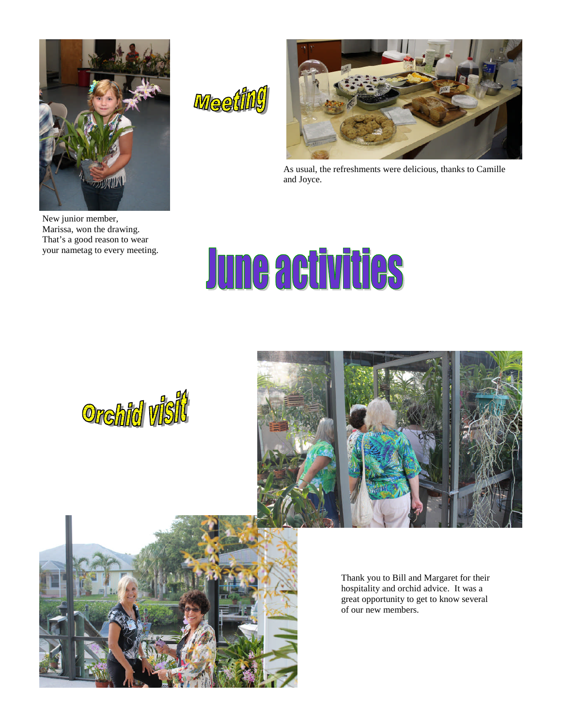

New junior member, Marissa, won the drawing. That's a good reason to wear your nametag to every meeting.





As usual, the refreshments were delicious, thanks to Camille and Joyce.

# **June activities**





Thank you to Bill and Margaret for their hospitality and orchid advice. It was a great opportunity to get to know several of our new members.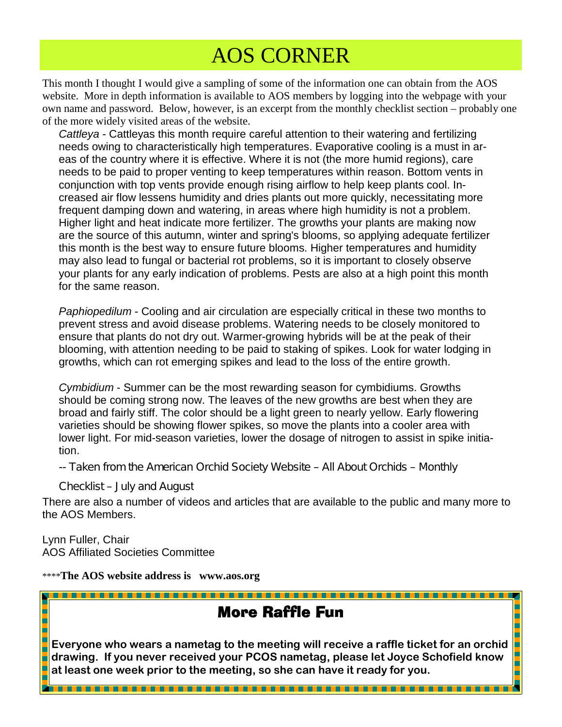## AOS CORNER

This month I thought I would give a sampling of some of the information one can obtain from the AOS website. More in depth information is available to AOS members by logging into the webpage with your own name and password. Below, however, is an excerpt from the monthly checklist section – probably one of the more widely visited areas of the website.

*Cattleya* - Cattleyas this month require careful attention to their watering and fertilizing needs owing to characteristically high temperatures. Evaporative cooling is a must in areas of the country where it is effective. Where it is not (the more humid regions), care needs to be paid to proper venting to keep temperatures within reason. Bottom vents in conjunction with top vents provide enough rising airflow to help keep plants cool. Increased air flow lessens humidity and dries plants out more quickly, necessitating more frequent damping down and watering, in areas where high humidity is not a problem. Higher light and heat indicate more fertilizer. The growths your plants are making now are the source of this autumn, winter and spring's blooms, so applying adequate fertilizer this month is the best way to ensure future blooms. Higher temperatures and humidity may also lead to fungal or bacterial rot problems, so it is important to closely observe your plants for any early indication of problems. Pests are also at a high point this month for the same reason.

*Paphiopedilum* - Cooling and air circulation are especially critical in these two months to prevent stress and avoid disease problems. Watering needs to be closely monitored to ensure that plants do not dry out. Warmer-growing hybrids will be at the peak of their blooming, with attention needing to be paid to staking of spikes. Look for water lodging in growths, which can rot emerging spikes and lead to the loss of the entire growth.

*Cymbidium* - Summer can be the most rewarding season for cymbidiums. Growths should be coming strong now. The leaves of the new growths are best when they are broad and fairly stiff. The color should be a light green to nearly yellow. Early flowering varieties should be showing flower spikes, so move the plants into a cooler area with lower light. For mid-season varieties, lower the dosage of nitrogen to assist in spike initiation.

-- Taken from the American Orchid Society Website – All About Orchids – Monthly

Checklist – July and August

There are also a number of videos and articles that are available to the public and many more to the AOS Members.

Lynn Fuller, Chair AOS Affiliated Societies Committee

\*\*\*\***The AOS website address is www.aos.org**

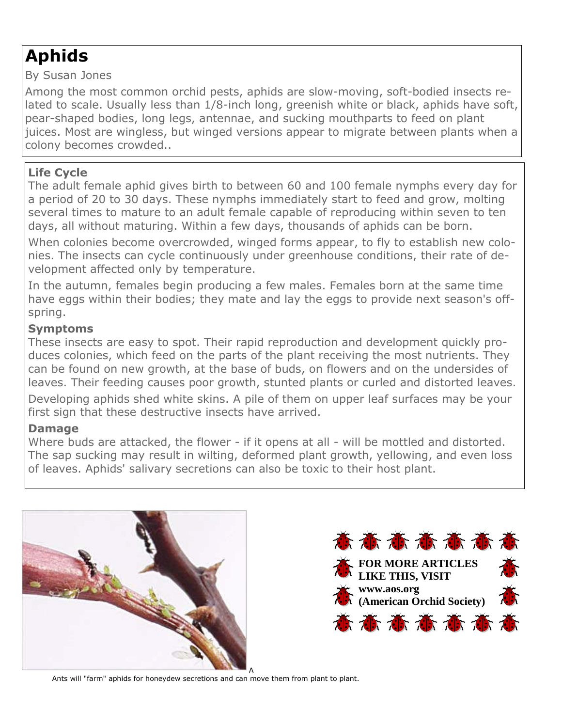## **Aphids**

By Susan Jones

Among the most common orchid pests, aphids are slow-moving, soft-bodied insects related to scale. Usually less than 1/8-inch long, greenish white or black, aphids have soft, pear-shaped bodies, long legs, antennae, and sucking mouthparts to feed on plant juices. Most are wingless, but winged versions appear to migrate between plants when a colony becomes crowded..

### **Life Cycle**

The adult female aphid gives birth to between 60 and 100 female nymphs every day for a period of 20 to 30 days. These nymphs immediately start to feed and grow, molting several times to mature to an adult female capable of reproducing within seven to ten days, all without maturing. Within a few days, thousands of aphids can be born.

When colonies become overcrowded, winged forms appear, to fly to establish new colonies. The insects can cycle continuously under greenhouse conditions, their rate of development affected only by temperature.

In the autumn, females begin producing a few males. Females born at the same time have eggs within their bodies; they mate and lay the eggs to provide next season's offspring.

#### **Symptoms**

These insects are easy to spot. Their rapid reproduction and development quickly produces colonies, which feed on the parts of the plant receiving the most nutrients. They can be found on new growth, at the base of buds, on flowers and on the undersides of leaves. Their feeding causes poor growth, stunted plants or curled and distorted leaves.

Developing aphids shed white skins. A pile of them on upper leaf surfaces may be your first sign that these destructive insects have arrived.

#### **Damage**

Where buds are attacked, the flower - if it opens at all - will be mottled and distorted. The sap sucking may result in wilting, deformed plant growth, yellowing, and even loss of leaves. Aphids' salivary secretions can also be toxic to their host plant.





Ants will "farm" aphids for honeydew secretions and can move them from plant to plant.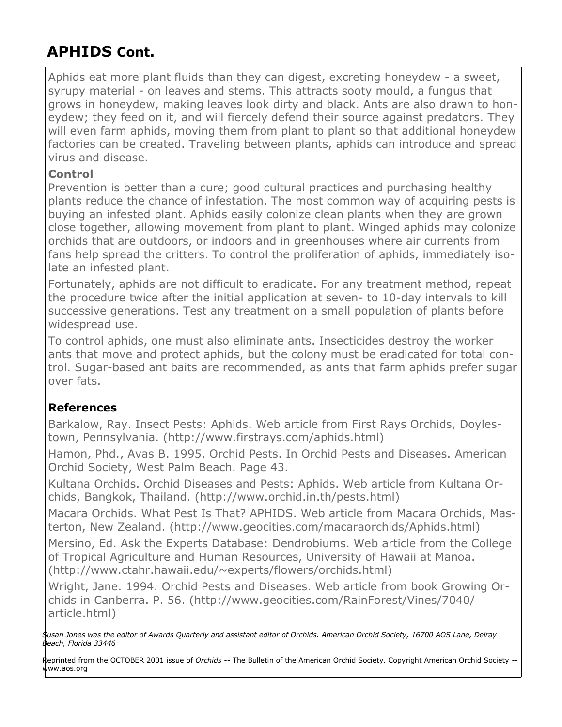## **APHIDS Cont.**

Aphids eat more plant fluids than they can digest, excreting honeydew - a sweet, syrupy material - on leaves and stems. This attracts sooty mould, a fungus that grows in honeydew, making leaves look dirty and black. Ants are also drawn to honeydew; they feed on it, and will fiercely defend their source against predators. They will even farm aphids, moving them from plant to plant so that additional honeydew factories can be created. Traveling between plants, aphids can introduce and spread virus and disease.

#### **Control**

Prevention is better than a cure; good cultural practices and purchasing healthy plants reduce the chance of infestation. The most common way of acquiring pests is buying an infested plant. Aphids easily colonize clean plants when they are grown close together, allowing movement from plant to plant. Winged aphids may colonize orchids that are outdoors, or indoors and in greenhouses where air currents from fans help spread the critters. To control the proliferation of aphids, immediately isolate an infested plant.

Fortunately, aphids are not difficult to eradicate. For any treatment method, repeat the procedure twice after the initial application at seven- to 10-day intervals to kill successive generations. Test any treatment on a small population of plants before widespread use.

To control aphids, one must also eliminate ants. Insecticides destroy the worker ants that move and protect aphids, but the colony must be eradicated for total control. Sugar-based ant baits are recommended, as ants that farm aphids prefer sugar over fats.

#### **References**

Barkalow, Ray. Insect Pests: Aphids. Web article from First Rays Orchids, Doylestown, Pennsylvania. (http://www.firstrays.com/aphids.html)

Hamon, Phd., Avas B. 1995. Orchid Pests. In Orchid Pests and Diseases. American Orchid Society, West Palm Beach. Page 43.

Kultana Orchids. Orchid Diseases and Pests: Aphids. Web article from Kultana Orchids, Bangkok, Thailand. (http://www.orchid.in.th/pests.html)

Macara Orchids. What Pest Is That? APHIDS. Web article from Macara Orchids, Masterton, New Zealand. (http://www.geocities.com/macaraorchids/Aphids.html)

Mersino, Ed. Ask the Experts Database: Dendrobiums. Web article from the College of Tropical Agriculture and Human Resources, University of Hawaii at Manoa. (http://www.ctahr.hawaii.edu/~experts/flowers/orchids.html)

Wright, Jane. 1994. Orchid Pests and Diseases. Web article from book Growing Orchids in Canberra. P. 56. (http://www.geocities.com/RainForest/Vines/7040/ article.html)

*Susan Jones was the editor of Awards Quarterly and assistant editor of Orchids. American Orchid Society, 16700 AOS Lane, Delray Beach, Florida 33446*

Reprinted from the OCTOBER 2001 issue of *Orchids* -- The Bulletin of the American Orchid Society. Copyright American Orchid Society - www.aos.org